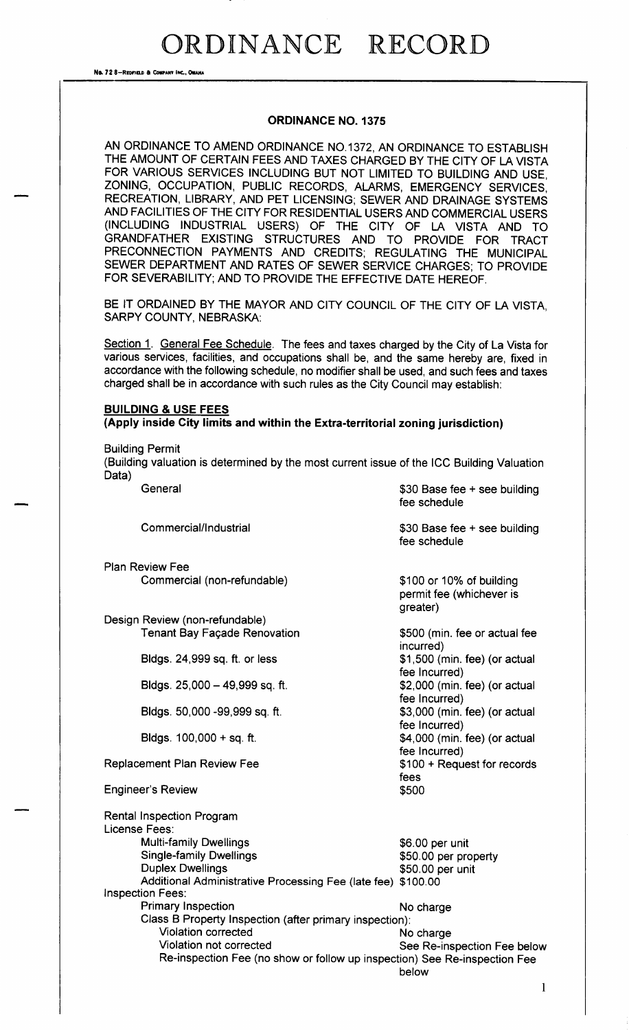No. 72 8-REDFIELD & COMPANY INC., OMAHA

#### ORDINANCE NO. 1375

AN ORDINANCE TO AMEND ORDINANCE NO. 1372, AN ORDINANCE TO ESTABLISH THE AMOUNT OF CERTAIN FEES AND TAXES CHARGED BY THE CITY OF LA VISTA FOR VARIOUS SERVICES INCLUDING BUT NOT LIMITED TO BUILDING AND USE, ZONING, OCCUPATION, PUBLIC RECORDS, ALARMS, EMERGENCY SERVICES, RECREATION, LIBRARY, AND PET LICENSING; SEWER AND DRAINAGE SYSTEMS AND FACILITIES OF THE CITY FOR RESIDENTIAL USERS AND COMMERCIAL USERS INCLUDING INDUSTRIAL USERS) OF THE CITY OF LA VISTA AND TO GRANDFATHER EXISTING STRUCTURES AND TO PROVIDE FOR TRACT PRECONNECTION PAYMENTS AND CREDITS; REGULATING THE MUNICIPAL SEWER DEPARTMENT AND RATES OF SEWER SERVICE CHARGES; TO PROVIDE FOR SEVERABILITY; AND TO PROVIDE THE EFFECTIVE DATE HEREOF.

BE IT ORDAINED BY THE MAYOR AND CITY COUNCIL OF THE CITY OF LA VISTA. SARPY COUNTY, NEBRASKA:

Section 1. General Fee Schedule. The fees and taxes charged by the City of La Vista for various services, facilities, and occupations shall be, and the same hereby are, fixed in accordance with the following schedule, no modifier shall be used, and such fees and taxes charged shall be in accordance with such rules as the City Council may establish:

#### BUILDING & USE FEES Apply inside City limits and within the Extra-territorial zoning jurisdiction)

Building Permit

Building valuation is determined by the most current issue of the ICC Building Valuation Data)

| General                                                                   | \$30 Base fee + see building<br>fee schedule                     |
|---------------------------------------------------------------------------|------------------------------------------------------------------|
| Commercial/Industrial                                                     | \$30 Base fee + see building<br>fee schedule                     |
| <b>Plan Review Fee</b>                                                    |                                                                  |
| Commercial (non-refundable)                                               | \$100 or 10% of building<br>permit fee (whichever is<br>greater) |
| Design Review (non-refundable)                                            |                                                                  |
| <b>Tenant Bay Façade Renovation</b>                                       | \$500 (min. fee or actual fee<br>incurred)                       |
| Bidgs. 24,999 sq. ft. or less                                             | \$1,500 (min. fee) (or actual<br>fee Incurred)                   |
| Bldgs. 25,000 - 49,999 sq. ft.                                            | \$2,000 (min. fee) (or actual<br>fee Incurred)                   |
| Bldgs. 50,000 -99,999 sq. ft.                                             | \$3,000 (min. fee) (or actual<br>fee Incurred)                   |
| Bldgs. $100,000 + sq.$ ft.                                                | \$4,000 (min. fee) (or actual<br>fee Incurred)                   |
| <b>Replacement Plan Review Fee</b>                                        | \$100 + Request for records<br>fees                              |
| <b>Engineer's Review</b>                                                  | \$500                                                            |
| <b>Rental Inspection Program</b><br>License Fees:                         |                                                                  |
| <b>Multi-family Dwellings</b>                                             | \$6.00 per unit                                                  |
| <b>Single-family Dwellings</b>                                            | \$50.00 per property                                             |
| <b>Duplex Dwellings</b>                                                   | \$50.00 per unit                                                 |
| Additional Administrative Processing Fee (late fee) \$100.00              |                                                                  |
| <b>Inspection Fees:</b>                                                   |                                                                  |
| <b>Primary Inspection</b>                                                 | No charge                                                        |
| Class B Property Inspection (after primary inspection):                   |                                                                  |
| Violation corrected                                                       | No charge                                                        |
| Violation not corrected                                                   | See Re-inspection Fee below                                      |
| Re-inspection Fee (no show or follow up inspection) See Re-inspection Fee | below                                                            |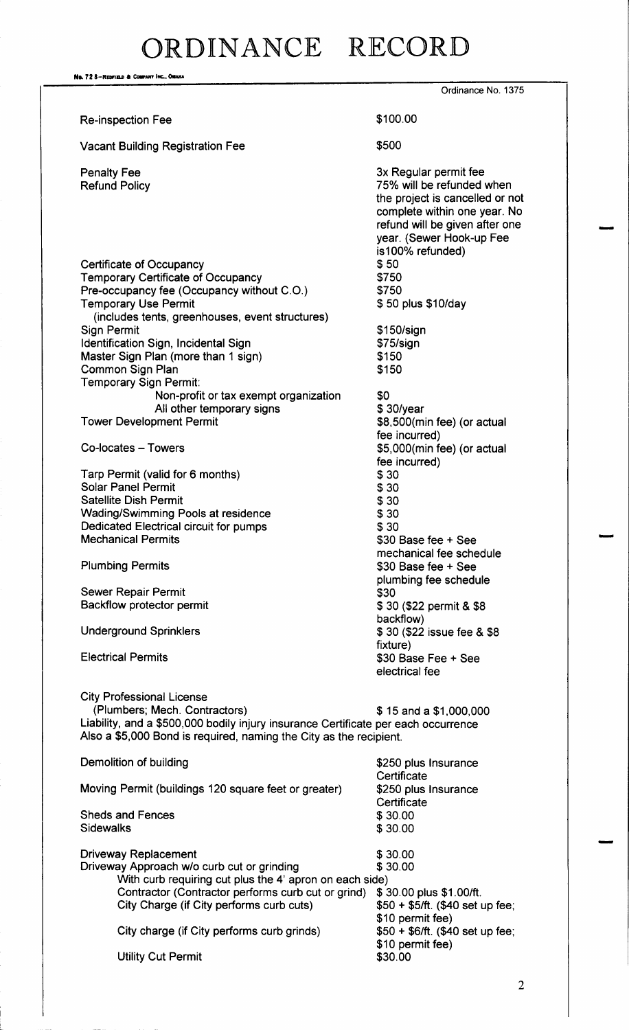Na. 72 8-Redfield & Company Inc., OMAHA Ordinance No. 1375 Re-inspection Fee 100.00 Vacant Building Registration Fee  $$500$ Penalty Fee 3x Regular permit fee 3x Regular permit fee 3x Regular permit fee 3x Regular permit fee 3x Regular permit fee 3x Regular permit fee 3x Regular permit fee 3x Regular permit fee 3x Regular permit fee 3x 8x 8x 8x 75% will be refunded when the project is cancelled or not complete within one year. No refund will be given after one vear. (Sewer Hook-up Fee is100% refunded) Certificate of Occupancy<br>
Temporary Certificate of Occupancy<br>
\$750 Temporary Certificate of Occupancy<br>Pre-occupancy fee (Occupancy without C.O.) \$750 Pre-occupancy fee (Occupancy without C.O.)  $$750$ <br>
Temporary Use Permit  $$50$  plus \$10/day Temporary Use Permit includes tents, greenhouses, event structures) Sign Permit **150/ sign Permit** 150/ sign 150/ sign 150/ sign 150/ sign 150/ sign 150/ sign 150 Identification Sign, Incidental Sign<br>
Master Sign Plan (more than 1 sign) \$150 Master Sign Plan (more than 1 sign) 150<br>Common Sign Plan 150 Common Sign Plan Temporary Sign Permit: Non-profit or tax exempt organization  $\begin{array}{c} \text{30/year} \\ \text{41} \\ \text{530/year} \end{array}$ All other temporary signs<br>Tower Development Permit \$8,500(min fee) (or actual fee incurred) Co-locates – Towers **6, 1000** Co-locates – Towers **5, 000** Co-locates – Towers fee incurred)<br>\$30 Tarp Permit (valid for 6 months)  $$30$ <br>Solar Panel Permit  $$30$ **Solar Panel Permit** Satellite Dish Permit<br>Wading/Swimming Pools at residence<br>\$30 Wading/Swimming Pools at residence  $$30$ <br>Dedicated Electrical circuit for pumps  $$30$ Dedicated Electrical circuit for pumps 30<br>
Mechanical Permits 300 Base fee + See **Mechanical Permits** mechanical fee schedule Plumbing Permits 30 Base fee + See plumbing fee schedule Sewer Repair Permit Backflow protector permit 30 (\$22 permit 4 \$ 30 (\$22 permit 4 \$ 38 backflow) Underground Sprinklers 30 (\$22 issue fee & \$8 fixture) Electrical Permits 30 Base Fee + See electrical fee City Professional License (Plumbers; Mech. Contractors) 6 15 and a \$1,000,000 Liability, and a \$500,000 bodily injury insurance Certificate per each occurrence Also a \$5,000 Bond is required, naming the City as the recipient. Demolition of building 250 plus Insurance **Certificate** Moving Permit (buildings 120 square feet or greater) \$250 plus Insurance **Certificate** Sheds and Fences 30.00 Sidewalks \$30.00 Driveway Replacement \$30.00<br>Driveway Approach w/o curb cut or grinding \$30.00 Driveway Approach w/o curb cut or grinding With curb requiring cut plus the 4' apron on each side)<br>Contractor (Contractor performs curb cut or grind) \$30.00 plus \$1.00/ft. Contractor (Contractor performs curb cut or grind) \$ 30.00 plus \$1.00/ft.<br>City Charge (if City performs curb cuts) \$50 + \$5/ft. (\$40 set up fee; City Charge (if City performs curb cuts) \$10 permit fee)<br>\$50 + \$6/ft. (\$40 set up fee; City charge (if City performs curb grinds) \$10 permit fee)<br>\$30.00 **Utility Cut Permit**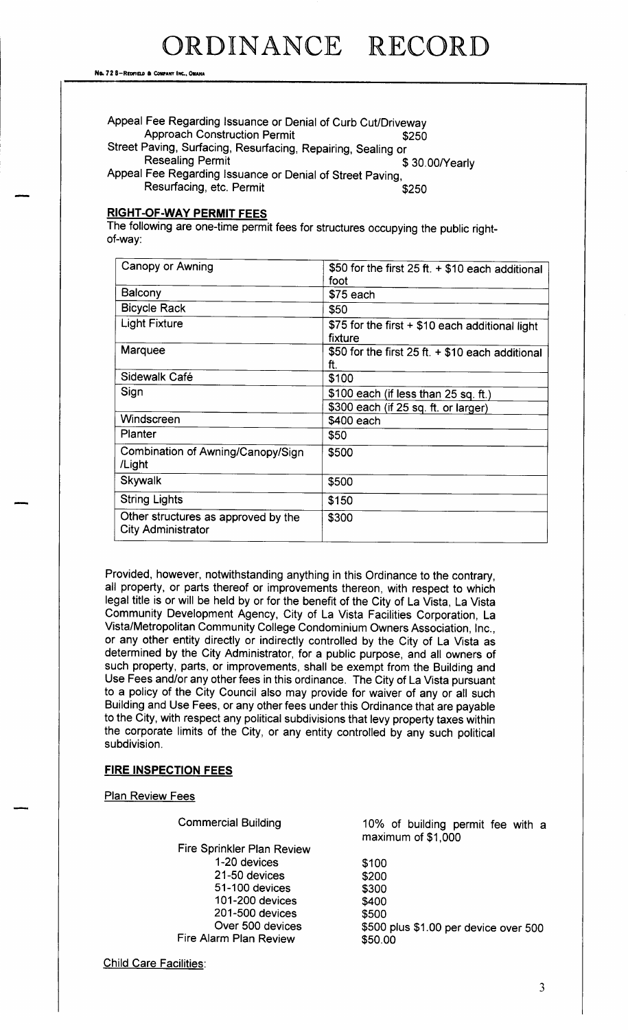| Appeal Fee Regarding Issuance or Denial of Curb Cut/Driveway |                |
|--------------------------------------------------------------|----------------|
| <b>Approach Construction Permit</b>                          | \$250          |
| Street Paving, Surfacing, Resurfacing, Repairing, Sealing or |                |
| <b>Resealing Permit</b>                                      | \$30.00/Yearly |
| Appeal Fee Regarding Issuance or Denial of Street Paving,    |                |
| Resurfacing, etc. Permit                                     | \$250          |

#### **RIGHT-OF-WAY PERMIT FEES**

The following are one-time permit fees for structures occupying the public rightof-way:

| Canopy or Awning                                                 | \$50 for the first 25 ft. $+$ \$10 each additional<br>foot |
|------------------------------------------------------------------|------------------------------------------------------------|
| Balcony                                                          | \$75 each                                                  |
| <b>Bicycle Rack</b>                                              | \$50                                                       |
| <b>Light Fixture</b>                                             | \$75 for the first + \$10 each additional light<br>fixture |
| <b>Marquee</b>                                                   | \$50 for the first 25 ft. $+$ \$10 each additional<br>ft.  |
| Sidewalk Café                                                    | \$100                                                      |
| Sign                                                             | \$100 each (if less than 25 sq. ft.)                       |
|                                                                  | \$300 each (if 25 sq. ft. or larger)                       |
| Windscreen                                                       | \$400 each                                                 |
| <b>Planter</b>                                                   | \$50                                                       |
| Combination of Awning/Canopy/Sign<br>/Light                      | \$500                                                      |
| Skywalk                                                          | \$500                                                      |
| <b>String Lights</b>                                             | \$150                                                      |
| Other structures as approved by the<br><b>City Administrator</b> | \$300                                                      |

Provided, however, notwithstanding anything in this Ordinance to the contrary, all property, or parts thereof or improvements thereon, with respect to which legal title is or will be held by or for the benefit of the City of La Vista, La Vista Community Development Agency, City of La Vista Facilities Corporation, La Vista/ Metropolitan Community College Condominium Owners Association, Inc., or any other entity directly or indirectly controlled by the City of La Vista as determined by the City Administrator, for a public purpose, and all owners of such property, parts, or improvements, shall be exempt from the Building and Use Fees and/or any other fees in this ordinance. The City of La Vista pursuant to a policy of the City Council also may provide for waiver of any or all such Building and Use Fees, or any other fees under this Ordinance that are payable to the City, with respect any political subdivisions that levy property taxes within the corporate limits of the City, or any entity controlled by any such political subdivision.

#### FIRE INSPECTION FEES

**Plan Review Fees** 

Fire Sprinkler Plan Review 1-20 devices \$100<br>21-50 devices \$200  $21-50$  devices 51-100 devices \$300<br>101-200 devices \$400 101-200 devices 201-500 devices \$500<br>Over 500 devices \$500 Fire Alarm Plan Review

Commercial Building 10% of building permit fee with <sup>a</sup> maximum of \$1,000

\$500 plus \$1.00 per device over 500<br>\$50.00

Child Care Facilities: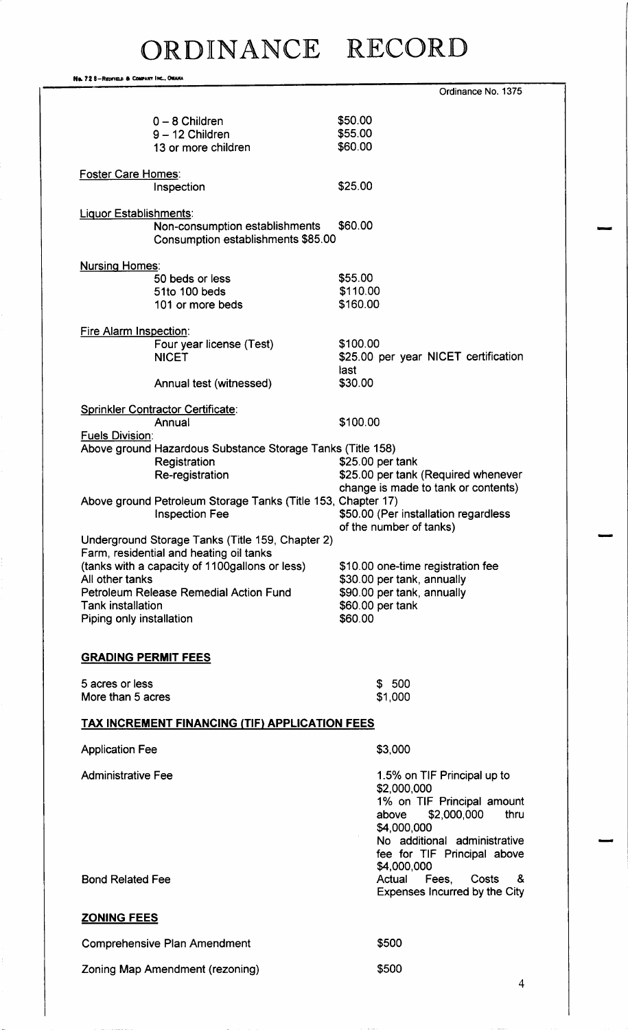No. 72 8-REDFIELD & COMPANY INC., OMAHA Ordinance No. 1375 0 - 8 Children 1980 - 12 Children 1980 - 12 Children 1980 - 12 Children 1980 - 13 Children 1980 - 13 Children<br>
1990 - 12 Children 1990 - 13 Children 1990 - 13 Children 1990 - 13 Children 1990 - 13 Children 1990 - 13 Chil<br> 9 - 12 Children 555.00<br>13 or more children 560.00 13 or more children Foster Care Homes: Inspection \$25.00 Liquor Establishments: Non-consumption establishments \$60.00 Consumption establishments \$85.00 Nursing Homes: 50 beds or less \$55.00<br>51to 100 beds \$110.00 51 to 100 beds \$110.00<br>101 or more beds \$160.00 101 or more beds Fire Alarm Inspection: Four year license (Test) \$100.00<br>NICET \$25.00 \$25.00 per year NICET certification last<br>\$30.00 Annual test (witnessed) Sprinkler Contractor Certificate: Annual \$100.00 Fuels Division: Above ground Hazardous Substance Storage Tanks (Title 158)<br>Registration \$25.00 per Registration 25.00 per tank<br>Re-registration 25.5.00 per tank \$25.00 per tank (Required whenever change is made to tank or contents) Above ground Petroleum Storage Tanks (Title 153, Chapter 17)<br>Inspection Fee \$50.00 (Per \$50.00 (Per installation regardless of the number of tanks) Underground Storage Tanks (Title 159, Chapter 2) Farm, residential and heating oil tanks (tanks with a capacity of 1100gallons or less)  $$10.00$  one-time registration fee<br>All other tanks  $$30.00$  per tank, annually \$30.00 per tank, annually<br>\$90.00 per tank, annually Petroleum Release Remedial Action Fund<br>Tank installation \$60.00 per tank<br>\$60.00 Piping only installation GRADING PERMIT FEES 5 acres or less 500 More than  $5$  acres  $$1,000$ TAX INCREMENT FINANCING (TIF) APPLICATION FEES Application Fee 3,000 Administrative Fee 2012 1.5% on TIF Principal up to 2, 000, 000 1% on TIF Principal amount above \$2,000,000 thru 4,000, 000 No additional administrative fee for TIF Principal above 4,000,000 Bond Related Fee **Actual Fees, Costs & Related Fees**, Costs & Related Fees, Costs & Expenses Incurred by the City ZONING FEES

Comprehensive Plan Amendment **5500** 

Zoning Map Amendment (rezoning) 5500

4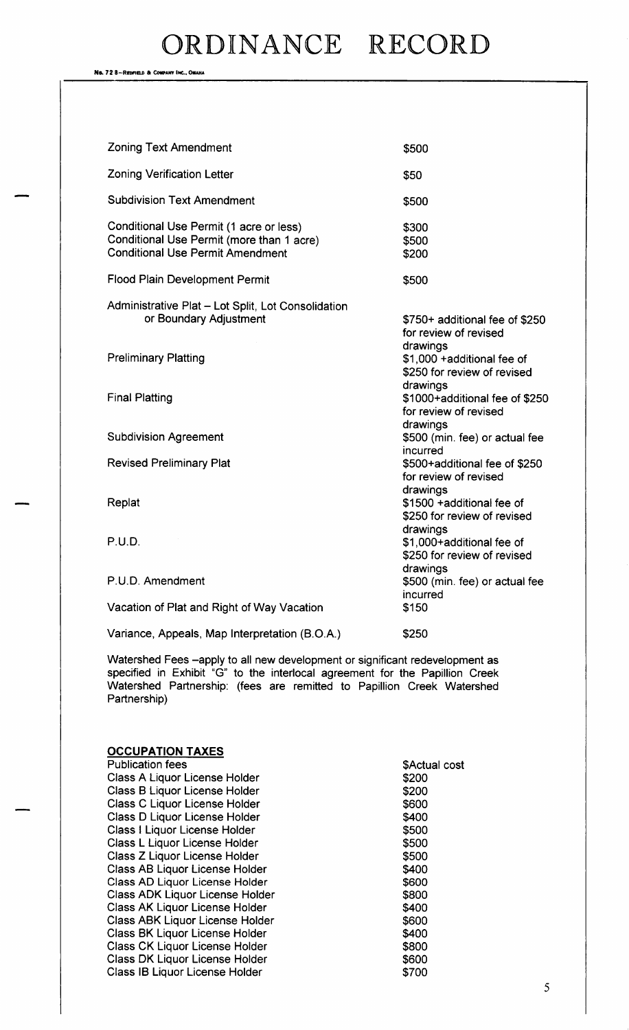No. 72 8-Redivield & Company Inc., Omaha

| <b>Zoning Text Amendment</b>                                                                                                    | \$500                                                                  |
|---------------------------------------------------------------------------------------------------------------------------------|------------------------------------------------------------------------|
| <b>Zoning Verification Letter</b>                                                                                               | \$50                                                                   |
| <b>Subdivision Text Amendment</b>                                                                                               | \$500                                                                  |
| Conditional Use Permit (1 acre or less)<br>Conditional Use Permit (more than 1 acre)<br><b>Conditional Use Permit Amendment</b> | \$300<br>\$500<br>\$200                                                |
| <b>Flood Plain Development Permit</b>                                                                                           | \$500                                                                  |
| Administrative Plat - Lot Split, Lot Consolidation<br>or Boundary Adjustment                                                    | \$750+ additional fee of \$250<br>for review of revised                |
| <b>Preliminary Platting</b>                                                                                                     | drawings<br>\$1,000 + additional fee of<br>\$250 for review of revised |
| <b>Final Platting</b>                                                                                                           | drawings<br>\$1000+additional fee of \$250<br>for review of revised    |
| <b>Subdivision Agreement</b>                                                                                                    | drawings<br>\$500 (min. fee) or actual fee                             |
| <b>Revised Preliminary Plat</b>                                                                                                 | incurred<br>\$500+additional fee of \$250<br>for review of revised     |
| Replat                                                                                                                          | drawings<br>\$1500 + additional fee of<br>\$250 for review of revised  |
| P.U.D.                                                                                                                          | drawings<br>\$1,000+additional fee of<br>\$250 for review of revised   |
| P.U.D. Amendment                                                                                                                | drawings<br>\$500 (min. fee) or actual fee<br>incurred                 |
| Vacation of Plat and Right of Way Vacation                                                                                      | \$150                                                                  |
| Variance, Appeals, Map Interpretation (B.O.A.)                                                                                  | \$250                                                                  |

Watershed Fees —apply to all new development or significant redevelopment as specified in Exhibit "G" to the interlocal agreement for the Papillion Creek Watershed Partnership: (fees are remitted to Papillion Creek Watershe Partnership)

| <b>OCCUPATION TAXES</b>                |               |
|----------------------------------------|---------------|
| <b>Publication fees</b>                | \$Actual cost |
| Class A Liquor License Holder          | \$200         |
| Class B Liquor License Holder          | \$200         |
| <b>Class C Liquor License Holder</b>   | \$600         |
| Class D Liquor License Holder          | \$400         |
| Class I Liquor License Holder          | \$500         |
| Class L Liquor License Holder          | \$500         |
| Class Z Liquor License Holder          | \$500         |
| <b>Class AB Liquor License Holder</b>  | \$400         |
| Class AD Liquor License Holder         | \$600         |
| <b>Class ADK Liquor License Holder</b> | \$800         |
| <b>Class AK Liquor License Holder</b>  | \$400         |
| <b>Class ABK Liquor License Holder</b> | \$600         |
| <b>Class BK Liquor License Holder</b>  | \$400         |
| <b>Class CK Liquor License Holder</b>  | \$800         |
| <b>Class DK Liquor License Holder</b>  | \$600         |
| Class IB Liquor License Holder         | \$700         |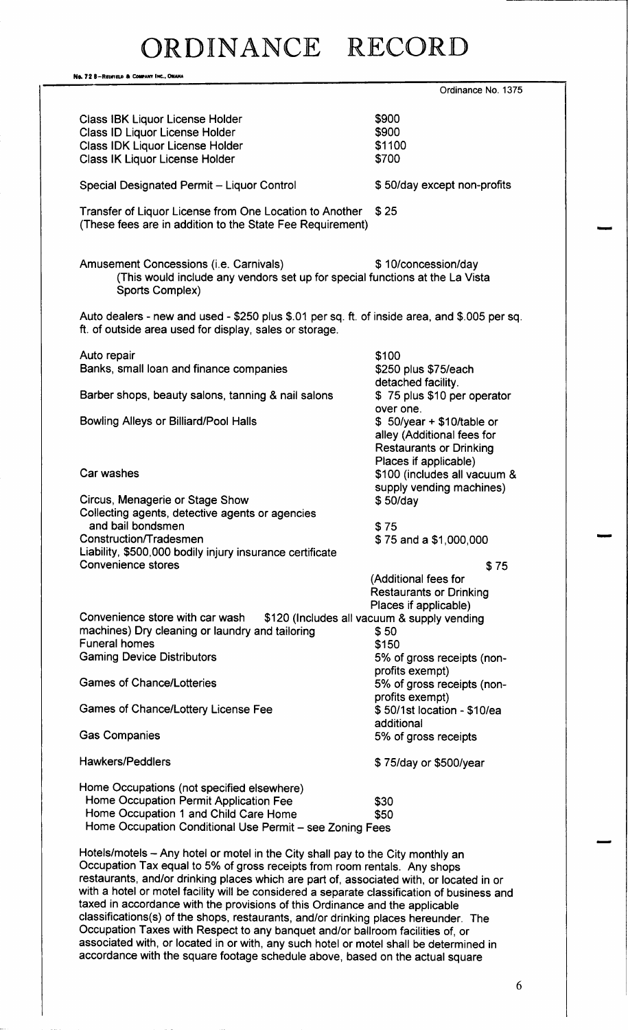Na. 72 8-Redfield & Company Inc., OMAHA Ordinance No. 1375 Class IBK Liquor License Holder (1990)<br>Class ID Liquor License Holder (1990) 8900 Class ID Liquor License Holder Class IDK Liquor License Holder 1100 Class IK Liquor License Holder 700 Special Designated Permit - Liquor Control  $$50/day$  except non-profits Transfer of Liquor License from One Location to Another \$25 (These fees are in addition to the State Fee Requirement) Amusement Concessions (i.e. Carnivals)  $$10$ /concession/day This would include any vendors set up for special functions at the La Vista Sports Complex) Auto dealers - new and used - \$250 plus \$.01 per sq. ft. of inside area, and \$.005 per sq. ft. of outside area used for display, sales or storage. Auto repair 100 Banks, small loan and finance companies detached facility.<br>\$75 plus \$10 per operator Barber shops, beauty salons, tanning & nail salons over one.<br>\$50/year + \$10/table or Bowling Alleys or Billiard/Pool Halls alley ( Additional fees for Restaurants or Drinking Places if applicable) Car washes **100** Car washes **100** Car washes **6100** Car washes supply vending machines)<br>\$50/day Circus, Menagerie or Stage Show Collecting agents, detective agents or agencies and bail bondsmen 375 Construction/Tradesmen 75 and a \$1,000,000 Liability, \$500,000 bodily injury insurance certificate Convenience stores \$75 Additional fees for Restaurants or Drinking Places if applicable) Convenience store with car wash \$120 (Includes all vacuum & supply vending machines) Dry cleaning or laundry and tailoring \$50 machines) Dry cleaning or laundry and tailoring  $$50$ <br>Funeral homes \$150 **Funeral homes** Gaming Device Distributors 6% of gross receipts (nonprofits exempt) Games of Chance/Lotteries 6 and 5% of gross receipts (nonprofits exempt)<br>\$50/1st location - \$10/ea Games of Chance/Lottery License Fee additional Gas Companies 6% of gross receipts Hawkers/Peddlers **1986** and 1997 and 1998 and 1997 and 1998 and 1998 and 1998 and 1998 and 1998 and 1998 and 19 Home Occupations ( not specified elsewhere) Home Occupation Permit Application Fee 330 Home Occupation 1 and Child Care Home 550 Home Occupation Conditional Use Permit— see Zoning Fees Hotels/motels - Any hotel or motel in the City shall pay to the City monthly an Occupation Tax equal to 5% of gross receipts from room rentals. Any shops restaurants, and/or drinking places which are part of, associated with, or located in or with a hotel or motel facility will be considered a separate classification of business and taxed in accordance with the provisions of this Ordinance and the applicable classifications(s) of the shops, restaurants, and/or drinking places hereunder. The Occupation Taxes with Respect to any banquet and/or ballroom facilities of, or associated with, or located in or with, any such hotel or motel shall be determined in accordance with the square footage schedule above, based on the actual square

6

r" r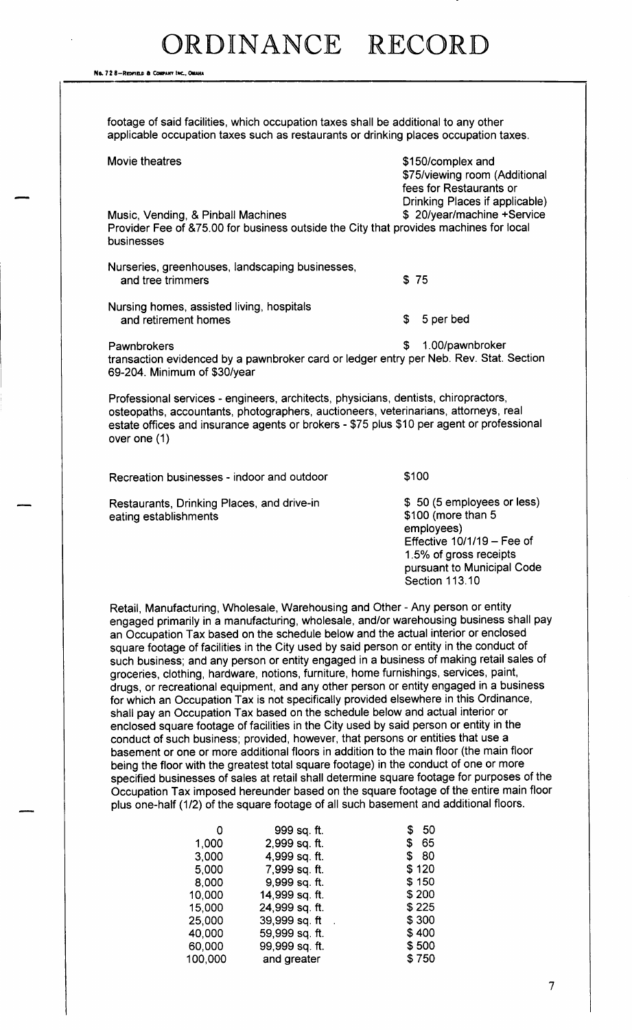No. 72 8-REDFIELD & COMPANY INC., OMAHA

footage of said facilities, which occupation taxes shall be additional to any other applicable occupation taxes such as restaurants or drinking places occupation taxes.

| Movie theatres                                                                                                                            | \$150/complex and<br>\$75/viewing room (Additional<br>fees for Restaurants or<br>Drinking Places if applicable) |
|-------------------------------------------------------------------------------------------------------------------------------------------|-----------------------------------------------------------------------------------------------------------------|
| Music, Vending, & Pinball Machines<br>Provider Fee of &75.00 for business outside the City that provides machines for local<br>businesses | \$20/year/machine +Service                                                                                      |
| Nurseries, greenhouses, landscaping businesses,<br>and tree trimmers                                                                      | \$75                                                                                                            |
| Nursing homes, assisted living, hospitals<br>and retirement homes                                                                         | S.<br>5 per bed                                                                                                 |
| Pawnbrokers<br>transaction evidenced by a pawnbroker card or ledger entry per Neb. Rev. Stat. Section<br>69-204. Minimum of \$30/year     | 1.00/pawnbroker<br>S                                                                                            |

Professional services - engineers, architects, physicians, dentists, chiropractors, osteopaths, accountants, photographers, auctioneers, veterinarians, attorneys, real estate offices and insurance agents or brokers - \$75 plus \$10 per agent or professional over one (1)

Recreation businesses - indoor and outdoor  $$100$ 

Restaurants, Drinking Places, and drive-in  $$50$  (5 employees or less)<br>eating establishments  $$100$  (more than 5 eating establishments

employees) Effective  $10/1/19$  – Fee of 1. 5% of gross receipts pursuant to Municipal Code Section 113. 10

Retail, Manufacturing, Wholesale, Warehousing and Other- Any person or entity engaged primarily in a manufacturing, wholesale, and/or warehousing business shall pay an Occupation Tax based on the schedule below and the actual interior or enclosed square footage of facilities in the City used by said person or entity in the conduct of such business; and any person or entity engaged in a business of making retail sales of groceries, clothing, hardware, notions, furniture, home furnishings, services, paint, drugs, or recreational equipment, and any other person or entity engaged in a business for which an Occupation Tax is not specifically provided elsewhere in this Ordinance, shall pay an Occupation Tax based on the schedule below and actual interior or enclosed square footage of facilities in the City used by said person or entity in the conduct of such business; provided, however, that persons or entities that use a basement or one or more additional floors in addition to the main floor ( the main floor being the floor with the greatest total square footage) in the conduct of one or more specified businesses of sales at retail shall determine square footage for purposes of the Occupation Tax imposed hereunder based on the square footage of the entire main floor plus one-half (1/2) of the square footage of all such basement and additional floors.

|         | 999 sq. ft.    | 50<br>S |
|---------|----------------|---------|
| 1,000   | 2,999 sq. ft.  | \$65    |
| 3,000   | 4,999 sq. ft.  | 80<br>S |
| 5,000   | 7,999 sq. ft.  | \$120   |
| 8,000   | 9,999 sq. ft.  | \$150   |
| 10,000  | 14,999 sq. ft. | \$200   |
| 15,000  | 24,999 sq. ft. | \$225   |
| 25,000  | 39,999 sq. ft  | \$300   |
| 40,000  | 59,999 sq. ft. | \$400   |
| 60,000  | 99,999 sq. ft. | \$500   |
| 100,000 | and greater    | \$750   |
|         |                |         |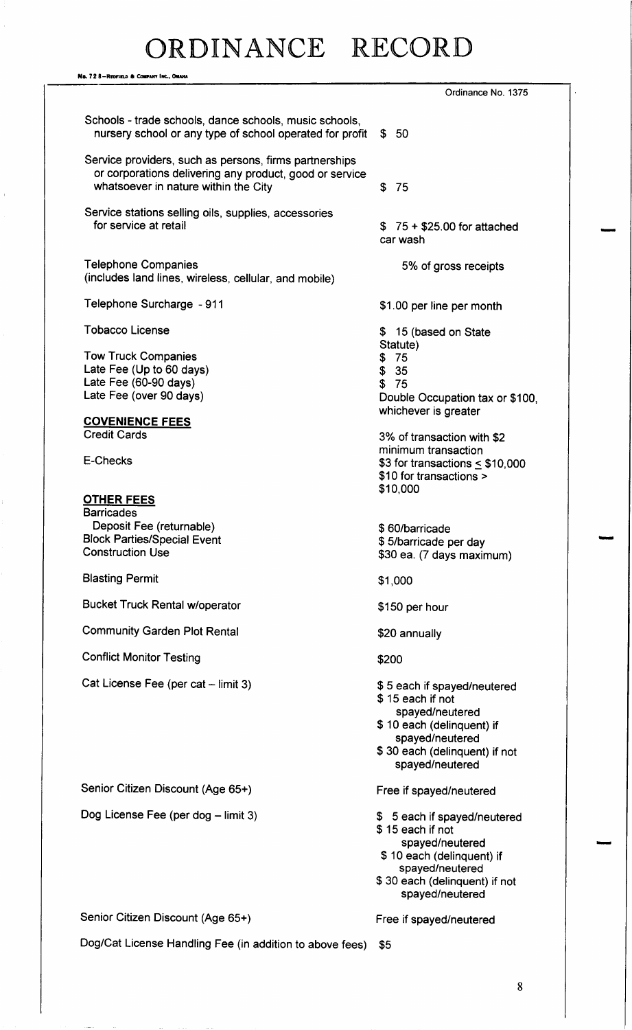# DR DIN ANCE RECORD

Na. 72 8-Repries & Company Inc., Omaha Ordinance No. 1375 Schools - trade schools, dance schools, music schools, nursery school or any type of school operated for profit  $$50$ Service providers, such as persons, firms partnerships or corporations delivering any product, good or service whatsoever in nature within the City **\$75** Service stations selling oils, supplies, accessories<br>for service at retail  $$75 + $25.00$  for attached car wash Telephone Companies **6.1 Companies** 5% of gross receipts includes land lines, wireless, cellular, and mobile) Telephone Surcharge - 911 1.00 per line per month Tobacco License 15 (based on State 15 (based on State 15 (based on State 15 (based on State 15 (based on State Statute) Tow Truck Companies 75 Late Fee (Up to 60 days)  $$35$ <br>
Late Fee (60-90 days)  $$75$ Late Fee (60-90 days)<br>Late Fee (over 90 days) Double Occupation tax or \$100, whichever is greater COVENIENCE FEES Credit Cards 3% of transaction with \$2 minimum transaction  $E$ -Checks  $$3$  for transactions  $<$  \$10,000 \$10 for transactions > \$10,000 OTHER FEES **Barricades** Deposit Fee (returnable) 60/barricade 60/barricade Block Parties/ Special Event 5/ barricade per day \$30 ea. (7 days maximum) Blasting Permit 1, 2000 1, 2000 1, 2000 1, 2000 1, 2000 1, 2000 1, 2000 1, 2000 1, 2000 1, 2000 1, 2000 1, 200 Bucket Truck Rental w/operator 150 per hour Community Garden Plot Rental 20 annually Conflict Monitor Testing 200 Cat License Fee (per cat – limit 3) \$5 each if spayed/neutered 15 each if not spayed/neutered 10 each (delinquent) if spayed/neutered 30 each (delinquent) if not spayed/neutered Senior Citizen Discount (Age 65+) Free if spayed/neutered Dog License Fee (per dog – limit 3) 5 each if spayed/neutered 15 each if not spayed/neutered \$ 10 each (delinquent) if spayed/neutered 30 each ( delinquent) if not spayed/neutered Senior Citizen Discount (Age 65+) Free if spayed/neutered Dog/Cat License Handling Fee (in addition to above fees) \$5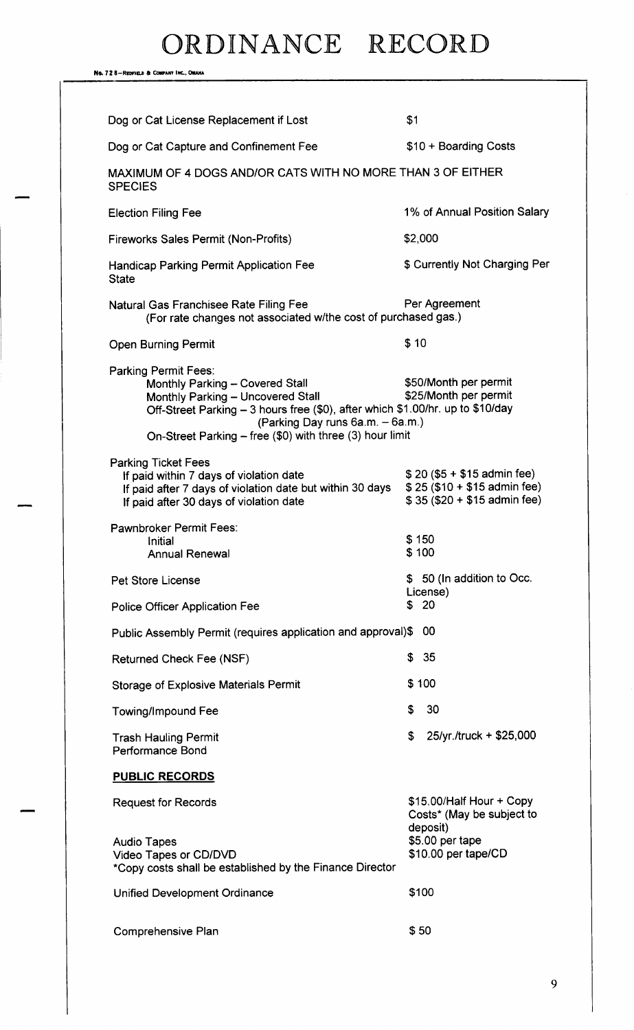No. 72 8-Redfield & Confany Inc., Omaha

| Dog or Cat License Replacement if Lost                                                                                                                                        |                                                                                                                                                                                | \$1            |                                                                                                             |
|-------------------------------------------------------------------------------------------------------------------------------------------------------------------------------|--------------------------------------------------------------------------------------------------------------------------------------------------------------------------------|----------------|-------------------------------------------------------------------------------------------------------------|
| Dog or Cat Capture and Confinement Fee                                                                                                                                        |                                                                                                                                                                                |                | \$10 + Boarding Costs                                                                                       |
| MAXIMUM OF 4 DOGS AND/OR CATS WITH NO MORE THAN 3 OF EITHER<br><b>SPECIES</b>                                                                                                 |                                                                                                                                                                                |                |                                                                                                             |
| <b>Election Filing Fee</b>                                                                                                                                                    |                                                                                                                                                                                |                | 1% of Annual Position Salary                                                                                |
| Fireworks Sales Permit (Non-Profits)                                                                                                                                          |                                                                                                                                                                                | \$2,000        |                                                                                                             |
| <b>Handicap Parking Permit Application Fee</b><br><b>State</b>                                                                                                                |                                                                                                                                                                                |                | \$ Currently Not Charging Per                                                                               |
| Natural Gas Franchisee Rate Filing Fee                                                                                                                                        | (For rate changes not associated w/the cost of purchased gas.)                                                                                                                 |                | Per Agreement                                                                                               |
| <b>Open Burning Permit</b>                                                                                                                                                    |                                                                                                                                                                                | \$10           |                                                                                                             |
| <b>Parking Permit Fees:</b><br>Monthly Parking - Covered Stall<br>Monthly Parking - Uncovered Stall                                                                           | Off-Street Parking - 3 hours free (\$0), after which \$1.00/hr. up to \$10/day<br>(Parking Day runs 6a.m. - 6a.m.)<br>On-Street Parking - free (\$0) with three (3) hour limit |                | \$50/Month per permit<br>\$25/Month per permit                                                              |
| <b>Parking Ticket Fees</b><br>If paid within 7 days of violation date<br>If paid after 7 days of violation date but within 30 days<br>If paid after 30 days of violation date |                                                                                                                                                                                |                | $$20 ($5 + $15$)$ admin fee)<br>$$25 ($10 + $15$)$ admin fee)<br>$$35 ($20 + $15$)$ admin fee)              |
| Pawnbroker Permit Fees:<br>Initial<br><b>Annual Renewal</b>                                                                                                                   |                                                                                                                                                                                | \$150<br>\$100 |                                                                                                             |
| <b>Pet Store License</b><br><b>Police Officer Application Fee</b>                                                                                                             |                                                                                                                                                                                | \$             | \$ 50 (In addition to Occ.<br>License)<br>- 20                                                              |
| Public Assembly Permit (requires application and approval)\$                                                                                                                  |                                                                                                                                                                                |                | -00                                                                                                         |
| <b>Returned Check Fee (NSF)</b>                                                                                                                                               |                                                                                                                                                                                | \$             | 35                                                                                                          |
| <b>Storage of Explosive Materials Permit</b>                                                                                                                                  |                                                                                                                                                                                | \$100          |                                                                                                             |
| <b>Towing/Impound Fee</b>                                                                                                                                                     |                                                                                                                                                                                | \$             | 30                                                                                                          |
| <b>Trash Hauling Permit</b><br><b>Performance Bond</b>                                                                                                                        |                                                                                                                                                                                | \$             | 25/yr./truck + \$25,000                                                                                     |
| <b>PUBLIC RECORDS</b>                                                                                                                                                         |                                                                                                                                                                                |                |                                                                                                             |
| <b>Request for Records</b><br><b>Audio Tapes</b><br>Video Tapes or CD/DVD<br>*Copy costs shall be established by the Finance Director                                         |                                                                                                                                                                                |                | \$15.00/Half Hour + Copy<br>Costs* (May be subject to<br>deposit)<br>\$5.00 per tape<br>\$10.00 per tape/CD |
| <b>Unified Development Ordinance</b>                                                                                                                                          |                                                                                                                                                                                | \$100          |                                                                                                             |
| Comprehensive Plan                                                                                                                                                            |                                                                                                                                                                                | \$50           |                                                                                                             |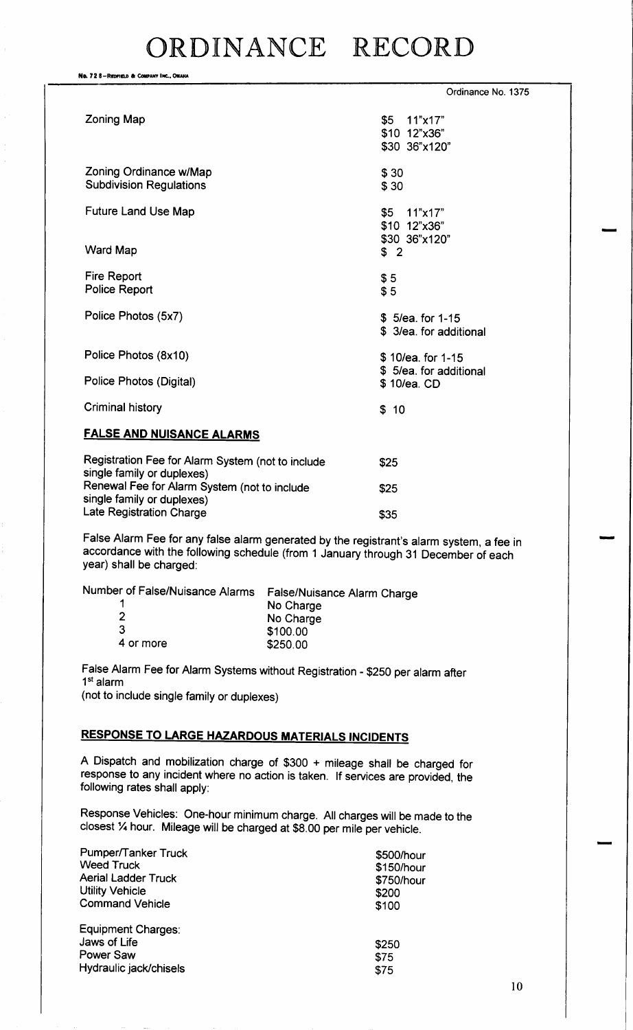No. 72 8-REDFIELD & COMPANY INC., OMAHA Ordinance No. 1375  $\lambda$  Zoning Map  $\lambda$  2011  $\lambda$  35 11" $\times$ 17" \$10 12"x36" 30 36" x120" Zoning Ordinance w/Map  $$30$ <br>Subdivision Regulations  $$30$ **Subdivision Regulations** Future Land Use Map 5 11"x17" \$10 12" x36"  $$30$  36" x120"<br> $$2$ Ward Map Fire Report 55 Police Report 55 Police Photos (5x7) 5/ 5/ 5/ 5/ 5/ 5/ 5/ 5/ 5/ 5/ 5/ 62. \$ 3/ea. for additional Police Photos ( 8x10) 10/ea. for 1- 15 \$ 5/ea. for additional<br>\$ 10/ea. CD Police Photos (Digital) Criminal history **100 and 100 and 100 and 100 and 100 and 100 and 100 and 100 and 100 and 100 and 100 and 100 and 100 and 100 and 100 and 100 and 100 and 100 and 100 and 100 and 100 and 100 and 100 and 100 and 100 and 100** FALSE AND NUISANCE ALARMS Registration Fee for Alarm System (not to include  $$25$ 

single family or duplexes) Renewal Fee for Alarm System (not to include  $$25$ single family or duplexes) Late Registration Charge 35

False Alarm Fee for any false alarm generated by the registrant's alarm system, a fee in accordance with the following schedule ( from <sup>1</sup> January through 31 December of each year) shall be charged:

| Number of False/Nuisance Alarms | False/Nuisance Alarm Charge |
|---------------------------------|-----------------------------|
|                                 | No Charge                   |
|                                 | No Charge                   |
| 3                               | \$100.00                    |
| 4 or more                       | \$250.00                    |
|                                 |                             |

False Alarm Fee for Alarm Systems without Registration - \$250 per alarm after 1st alarm not to include single family or duplexes)

### RESPONSE TO LARGE HAZARDOUS MATERIALS INCIDENTS

A Dispatch and mobilization charge of \$300 + mileage shall be charged for response to any incident where no action is taken. If services are provided, the following rates shall apply:

Response Vehicles: One-hour minimum charge. All charges will be made to the closest 1/4 hour. Mileage will be charged at \$8.00 per mile per vehicle.

| Pumper/Tanker Truck        | \$500/hour |
|----------------------------|------------|
| <b>Weed Truck</b>          | \$150/hour |
| <b>Aerial Ladder Truck</b> | \$750/hour |
| <b>Utility Vehicle</b>     | \$200      |
| <b>Command Vehicle</b>     | \$100      |
| Equipment Charges:         |            |
| Jaws of Life               | \$250      |
| Power Saw                  | \$75       |
| Hydraulic jack/chisels     | \$75       |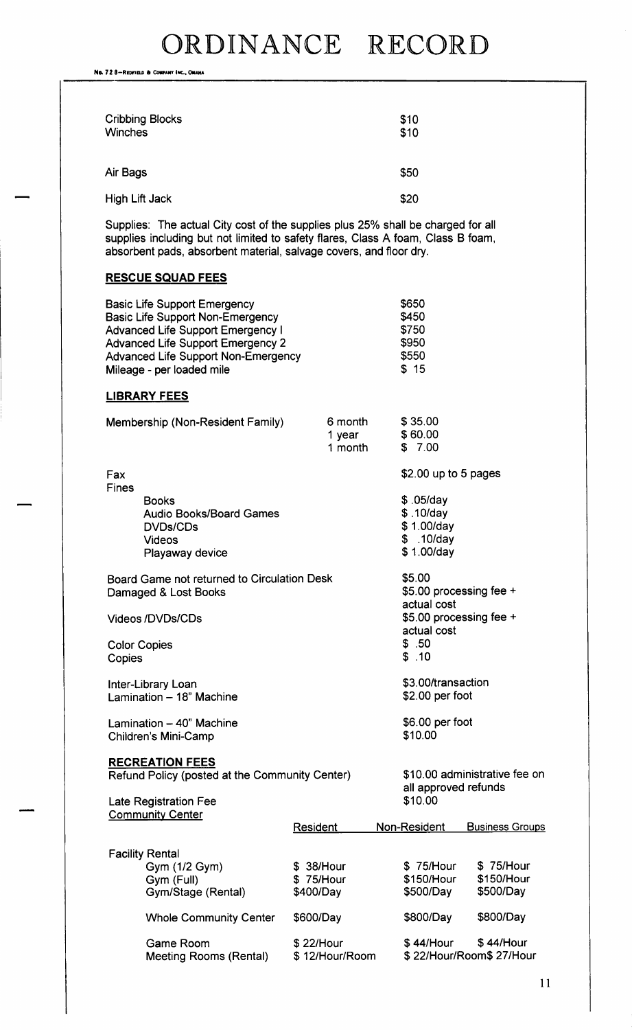No. 72 8-REDFIELD & COMPANY INC., OMAHA

| <b>Cribbing Blocks</b><br><b>Winches</b> | \$1C<br>\$1C |
|------------------------------------------|--------------|
| Air Bags                                 | \$50         |
| High Lift Jack                           | \$2C         |

Supplies: The actual City cost of the supplies plus 25% shall be charged for all supplies including but not limited to safety flares, Class A foam, Class B foam, absorbent pads, absorbent material, salvage covers, and floor dry.

### RESCUE SQUAD FEES

|                               | <u>NESCUE SQUAD FEES</u>                                                                                                                                                                                                                   |                                      |                              |                                                                 |                                      |
|-------------------------------|--------------------------------------------------------------------------------------------------------------------------------------------------------------------------------------------------------------------------------------------|--------------------------------------|------------------------------|-----------------------------------------------------------------|--------------------------------------|
|                               | <b>Basic Life Support Emergency</b><br><b>Basic Life Support Non-Emergency</b><br><b>Advanced Life Support Emergency I</b><br><b>Advanced Life Support Emergency 2</b><br>Advanced Life Support Non-Emergency<br>Mileage - per loaded mile |                                      |                              | \$650<br>\$450<br>\$750<br>\$950<br>\$550<br>\$15               |                                      |
|                               | <b>LIBRARY FEES</b>                                                                                                                                                                                                                        |                                      |                              |                                                                 |                                      |
|                               | Membership (Non-Resident Family)                                                                                                                                                                                                           |                                      | 6 month<br>1 year<br>1 month | \$35.00<br>\$60.00<br>\$7.00                                    |                                      |
| Fax                           |                                                                                                                                                                                                                                            |                                      |                              | $$2.00$ up to 5 pages                                           |                                      |
| <b>Fines</b>                  | <b>Books</b><br><b>Audio Books/Board Games</b><br><b>DVDs/CDs</b><br><b>Videos</b><br>Playaway device                                                                                                                                      |                                      |                              | \$.05/day<br>\$.10/day<br>\$1.00/day<br>\$.10/day<br>\$1.00/day |                                      |
|                               | Board Game not returned to Circulation Desk<br>Damaged & Lost Books                                                                                                                                                                        |                                      |                              | \$5.00<br>\$5.00 processing fee +<br>actual cost                |                                      |
|                               | <b>Videos/DVDs/CDs</b>                                                                                                                                                                                                                     |                                      |                              | \$5.00 processing fee +<br>actual cost                          |                                      |
| <b>Color Copies</b><br>Copies |                                                                                                                                                                                                                                            |                                      |                              | \$.50<br>\$.10                                                  |                                      |
|                               | Inter-Library Loan<br>Lamination - 18" Machine                                                                                                                                                                                             |                                      |                              | \$3.00/transaction<br>\$2.00 per foot                           |                                      |
|                               | Lamination - 40" Machine<br>Children's Mini-Camp                                                                                                                                                                                           |                                      |                              | \$6.00 per foot<br>\$10.00                                      |                                      |
|                               | <b>RECREATION FEES</b><br>Refund Policy (posted at the Community Center)                                                                                                                                                                   |                                      |                              | all approved refunds                                            | \$10.00 administrative fee on        |
|                               | <b>Late Registration Fee</b><br><b>Community Center</b>                                                                                                                                                                                    |                                      |                              | \$10.00                                                         |                                      |
|                               |                                                                                                                                                                                                                                            | <b>Resident</b>                      |                              | Non-Resident                                                    | <b>Business Groups</b>               |
|                               | <b>Facility Rental</b><br>Gym (1/2 Gym)<br>Gym (Full)<br>Gym/Stage (Rental)                                                                                                                                                                | \$ 38/Hour<br>\$75/Hour<br>\$400/Day |                              | \$75/Hour<br>\$150/Hour<br>\$500/Day                            | \$75/Hour<br>\$150/Hour<br>\$500/Day |
|                               | <b>Whole Community Center</b>                                                                                                                                                                                                              | \$600/Day                            |                              | \$800/Day                                                       | \$800/Day                            |
|                               | Game Room<br><b>Meeting Rooms (Rental)</b>                                                                                                                                                                                                 | \$22/Hour<br>\$12/Hour/Room          |                              | \$44/Hour                                                       | \$44/Hour<br>\$22/Hour/Room\$27/Hour |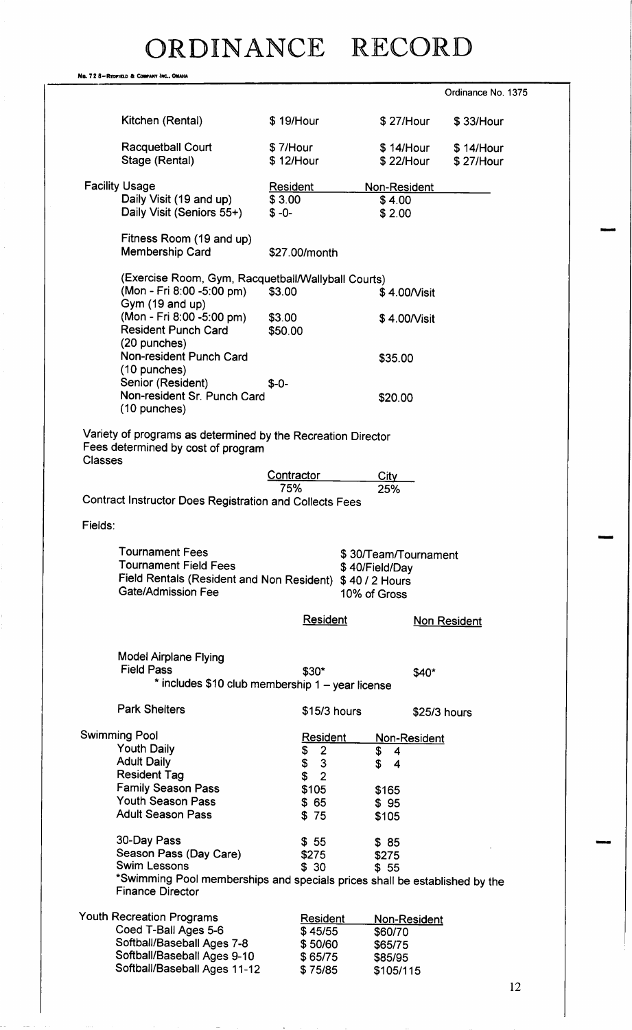|                                                       |                | No. 728-Redfield & Company Inc., OMAHA                                                                                                                                                      |                   |                                |                               |                    |  |
|-------------------------------------------------------|----------------|---------------------------------------------------------------------------------------------------------------------------------------------------------------------------------------------|-------------------|--------------------------------|-------------------------------|--------------------|--|
|                                                       |                |                                                                                                                                                                                             |                   |                                |                               | Ordinance No. 1375 |  |
|                                                       |                | Kitchen (Rental)                                                                                                                                                                            | \$19/Hour         |                                | \$27/Hour                     | \$33/Hour          |  |
|                                                       |                | <b>Racquetball Court</b>                                                                                                                                                                    | \$7/Hour          |                                | \$14/Hour                     | \$14/Hour          |  |
|                                                       |                | Stage (Rental)                                                                                                                                                                              | \$12/Hour         |                                | \$22/Hour                     | \$27/Hour          |  |
|                                                       |                | <b>Facility Usage</b>                                                                                                                                                                       | Resident          |                                | Non-Resident                  |                    |  |
|                                                       |                | Daily Visit (19 and up)                                                                                                                                                                     | \$3.00            |                                | \$4.00                        |                    |  |
|                                                       |                | Daily Visit (Seniors 55+)                                                                                                                                                                   | $$ -0-$           |                                | \$2.00                        |                    |  |
|                                                       |                | Fitness Room (19 and up)<br>Membership Card                                                                                                                                                 |                   | \$27.00/month                  |                               |                    |  |
|                                                       |                | (Exercise Room, Gym, Racquetball/Wallyball Courts)                                                                                                                                          |                   |                                |                               |                    |  |
|                                                       |                | (Mon - Fri 8:00 -5:00 pm)                                                                                                                                                                   | \$3.00            |                                | \$4.00/Visit                  |                    |  |
|                                                       |                | Gym (19 and up)                                                                                                                                                                             |                   |                                |                               |                    |  |
|                                                       |                | (Mon - Fri 8:00 -5:00 pm)<br><b>Resident Punch Card</b>                                                                                                                                     | \$3.00<br>\$50.00 |                                | \$4.00/Visit                  |                    |  |
|                                                       |                | (20 punches)                                                                                                                                                                                |                   |                                |                               |                    |  |
|                                                       |                | Non-resident Punch Card                                                                                                                                                                     |                   |                                | \$35.00                       |                    |  |
|                                                       |                | (10 punches)                                                                                                                                                                                |                   |                                |                               |                    |  |
|                                                       |                | Senior (Resident)<br>Non-resident Sr. Punch Card                                                                                                                                            | $$ -0-$           |                                |                               |                    |  |
|                                                       |                | (10 punches)                                                                                                                                                                                |                   |                                | \$20.00                       |                    |  |
|                                                       | <b>Classes</b> | Variety of programs as determined by the Recreation Director<br>Fees determined by cost of program                                                                                          |                   |                                |                               |                    |  |
|                                                       |                |                                                                                                                                                                                             | Contractor<br>75% |                                | City                          |                    |  |
|                                                       |                | Contract Instructor Does Registration and Collects Fees                                                                                                                                     |                   |                                | 25%                           |                    |  |
|                                                       | Fields:        |                                                                                                                                                                                             |                   |                                |                               |                    |  |
|                                                       |                | <b>Tournament Fees</b><br>\$30/Team/Tournament<br>Tournament Field Fees<br>\$40/Field/Day<br>Field Rentals (Resident and Non Resident) \$40 / 2 Hours<br>Gate/Admission Fee<br>10% of Gross |                   |                                |                               |                    |  |
|                                                       |                |                                                                                                                                                                                             |                   | <b>Resident</b>                |                               | Non Resident       |  |
|                                                       |                | <b>Model Airplane Flying</b>                                                                                                                                                                |                   |                                |                               |                    |  |
|                                                       |                | <b>Field Pass</b>                                                                                                                                                                           |                   | \$30*                          |                               | \$40*              |  |
|                                                       |                | * includes \$10 club membership 1 - year license                                                                                                                                            |                   |                                |                               |                    |  |
|                                                       |                | <b>Park Shelters</b>                                                                                                                                                                        |                   | \$15/3 hours                   |                               | \$25/3 hours       |  |
|                                                       |                | <b>Swimming Pool</b>                                                                                                                                                                        |                   | Resident                       | Non-Resident                  |                    |  |
|                                                       |                | <b>Youth Daily</b>                                                                                                                                                                          |                   | $\overline{2}$                 | \$<br>4                       |                    |  |
|                                                       |                | <b>Adult Daily</b><br><b>Resident Tag</b>                                                                                                                                                   |                   | \$<br>\$<br>\$<br>$\mathbf{3}$ | S.<br>$\overline{\mathbf{4}}$ |                    |  |
|                                                       |                | <b>Family Season Pass</b>                                                                                                                                                                   |                   | $\overline{2}$<br>\$105        | \$165                         |                    |  |
|                                                       |                | <b>Youth Season Pass</b>                                                                                                                                                                    |                   | \$65                           | \$95                          |                    |  |
|                                                       |                | <b>Adult Season Pass</b>                                                                                                                                                                    |                   | \$75                           | \$105                         |                    |  |
|                                                       |                |                                                                                                                                                                                             |                   |                                |                               |                    |  |
|                                                       |                | 30-Day Pass<br>Season Pass (Day Care)                                                                                                                                                       |                   | \$55<br>\$275                  | \$85<br>\$275                 |                    |  |
|                                                       |                | <b>Swim Lessons</b>                                                                                                                                                                         |                   | \$30                           | \$55                          |                    |  |
|                                                       |                | *Swimming Pool memberships and specials prices shall be established by the<br><b>Finance Director</b>                                                                                       |                   |                                |                               |                    |  |
| Youth Recreation Programs<br>Resident<br>Non-Resident |                |                                                                                                                                                                                             |                   |                                |                               |                    |  |
|                                                       |                | Coed T-Ball Ages 5-6                                                                                                                                                                        |                   | \$45/55                        | \$60/70                       |                    |  |
|                                                       |                | Softball/Baseball Ages 7-8                                                                                                                                                                  |                   | \$50/60                        | \$65/75                       |                    |  |
|                                                       |                | Softball/Baseball Ages 9-10                                                                                                                                                                 |                   | \$65/75                        | \$85/95                       |                    |  |
|                                                       |                | Softball/Baseball Ages 11-12                                                                                                                                                                |                   | \$75/85                        | \$105/115                     |                    |  |
|                                                       |                |                                                                                                                                                                                             |                   |                                |                               |                    |  |

IMMO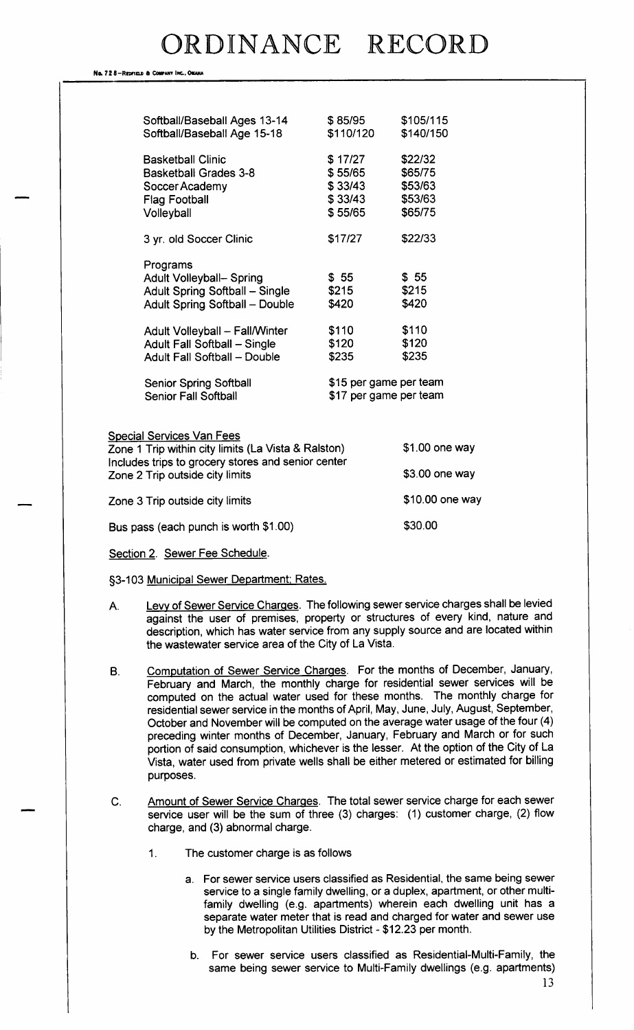#### No. 72 8-REDFIELD & COMPANY INC., OMAHA

| Softball/Baseball Ages 13-14<br>Softball/Baseball Age 15-18                                                                                                                                                                                                                                            | \$85/95<br>\$110/120                                                                                  | \$105/115<br>\$140/150                              |
|--------------------------------------------------------------------------------------------------------------------------------------------------------------------------------------------------------------------------------------------------------------------------------------------------------|-------------------------------------------------------------------------------------------------------|-----------------------------------------------------|
| <b>Basketball Clinic</b><br><b>Basketball Grades 3-8</b><br>Soccer Academy<br><b>Flag Football</b><br>Volleyball                                                                                                                                                                                       | \$17/27<br>\$55/65<br>\$33/43<br>\$33/43<br>\$55/65                                                   | \$22/32<br>\$65/75<br>\$53/63<br>\$53/63<br>\$65/75 |
| 3 yr. old Soccer Clinic                                                                                                                                                                                                                                                                                | \$17/27                                                                                               | \$22/33                                             |
| Programs<br><b>Adult Volleyball- Spring</b><br>Adult Spring Softball - Single<br><b>Adult Spring Softball - Double</b><br><b>Adult Volleyball - Fall/Winter</b><br>Adult Fall Softball - Single<br><b>Adult Fall Softball - Double</b><br><b>Senior Spring Softball</b><br><b>Senior Fall Softball</b> | \$55<br>\$215<br>\$420<br>\$110<br>\$120<br>\$235<br>\$15 per game per team<br>\$17 per game per team | \$55<br>\$215<br>\$420<br>\$110<br>\$120<br>\$235   |
| <b>Special Services Van Fees</b><br>Zone 1 Trip within city limits (La Vista & Ralston)                                                                                                                                                                                                                |                                                                                                       | $$1.00$ one way                                     |
| Includes trips to grocery stores and senior center<br>Zone 2 Trip outside city limits                                                                                                                                                                                                                  |                                                                                                       | $$3.00$ one way                                     |
| Zone 3 Trip outside city limits                                                                                                                                                                                                                                                                        |                                                                                                       | \$10.00 one way                                     |
| Bus pass (each punch is worth \$1.00)                                                                                                                                                                                                                                                                  |                                                                                                       | \$30.00                                             |

Section 2. Sewer Fee Schedule.

§3-103 Municipal Sewer Department; Rates.

A. Levy of Sewer Service Charges. The following sewer service charges shall be levied against the user of premises, property or structures of every kind, nature and

the wastewater service area of the City of La Vista.

B. Computation of Sewer Service Charges. For the months of December, January, February and March, the monthly charge for residential sewer services will be computed on the actual water used for these months. The monthly charge for residential sewer service in the months of April, May, June, July, August, September, October and November will be computed on the average water usage of the four( 4) preceding winter months of December, January, February and March or for such portion of said consumption, whichever is the lesser. At the option of the City of La Vista, water used from private wells shall be either metered or estimated for billing purposes.

description, which has water service from any supply source and are located within

- C. Amount of Sewer Service Charges. The total sewer service charge for each sewer service user will be the sum of three (3) charges: (1) customer charge, (2) flow charge, and (3) abnormal charge.
	- 1. The customer charge is as follows
		- a. For sewer service users classified as Residential, the same being sewer service to a single family dwelling, or a duplex, apartment, or other multifamily dwelling (e.g. apartments) wherein each dwelling unit has a separate water meter that is read and charged for water and sewer use by the Metropolitan Utilities District-\$ 12. 23 per month.
		- b. For sewer service users classified as Residential-Multi-Family, the same being sewer service to Multi-Family dwellings (e.g. apartments)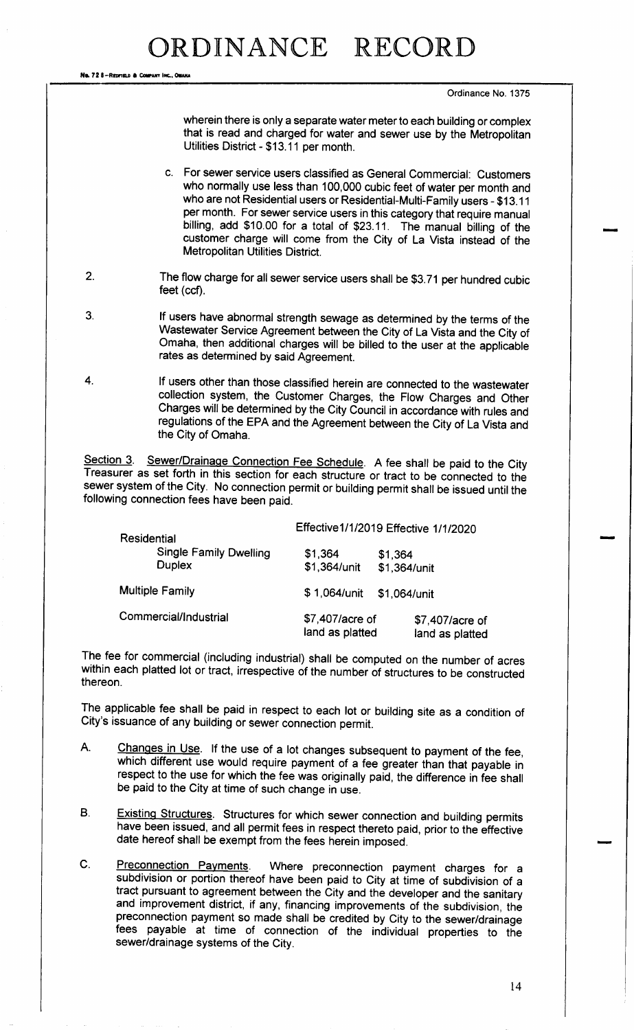Ne. 72 8-Redfield & Company INC., OMAN

Ordinance No. 1375

wherein there is only a separate water meter to each building or complex that is read and charged for water and sewer use by the Metropolitan Utilities District- \$ 13. <sup>11</sup> per month.

c. For sewer service users classified as General Commercial: Customers who normally use less than 100, 000 cubic feet of water per month and who are not Residential users or Residential-Multi-Family users - \$13.11 per month. For sewer service users in this category that require manual billing, add \$10.00 for a total of \$23.11. The manual billing of the customer charge will come from the City of La Vista instead of the Metropolitan Utilities District.

- 2. The flow charge for all sewer service users shall be \$3.71 per hundred cubic feet (ccf).
- 3. If users have abnormal strength sewage as determined by the terms of the Wastewater Service Agreement between the City of La Vista and the City of Omaha, then additional charges will be billed to the user at the applicable rates as determined by said Agreement.
- 4. If users other than those classified herein are connected to the wastewater collection system, the Customer Charges, the Flow Charges and Other Charges will be determined by the City Council in accordance with rules and regulations of the EPA and the Agreement between the City of La Vista and the City of Omaha.

Section 3. Sewer/Drainage Connection Fee Schedule. A fee shall be paid to the City Treasurer as set forth in this section for each structure or tract to be connected to the sewer system of the City. No connection permit or building permit shall be issued until the following connection fees have been paid.

| <b>Residential</b>     |                                                | Effective1/1/2019 Effective 1/1/2020               |                                    |  |  |
|------------------------|------------------------------------------------|----------------------------------------------------|------------------------------------|--|--|
|                        | <b>Single Family Dwelling</b><br><b>Duplex</b> | \$1,364<br>\$1,364<br>\$1,364/unit<br>\$1,364/unit |                                    |  |  |
| <b>Multiple Family</b> |                                                | \$1,064/unit                                       | \$1,064/unit                       |  |  |
| Commercial/Industrial  |                                                |                                                    | \$7,407/acre of<br>land as platted |  |  |

The fee for commercial ( including industrial) shall be computed on the number of acres within each platted lot or tract, irrespective of the number of structures to be constructed thereon.

The applicable fee shall be paid in respect to each lot or building site as a condition of City's issuance of any building or sewer connection permit.

- A. Changes in Use. If the use of a lot changes subsequent to payment of the fee, which different use would require payment of a fee greater than that payable in respect to the use for which the fee was originally paid, the difference in fee shall be paid to the City at time of such change in use.
- B. Existing Structures. Structures for which sewer connection and building permits have been issued, and all permit fees in respect thereto paid, prior to the effective date hereof shall be exempt from the fees herein imposed.
- C. Preconnection Payments. Where preconnection payment charges for <sup>a</sup> subdivision or portion thereof have been paid to City at time of subdivision of a tract pursuant to agreement between the City and the developer and the sanitary and improvement district, if any, financing improvements of the subdivision, the preconnection payment so made shall be credited by City to the sewer/drainage fees payable at time of connection of the individual properties to the sewer/drainage systems of the City.